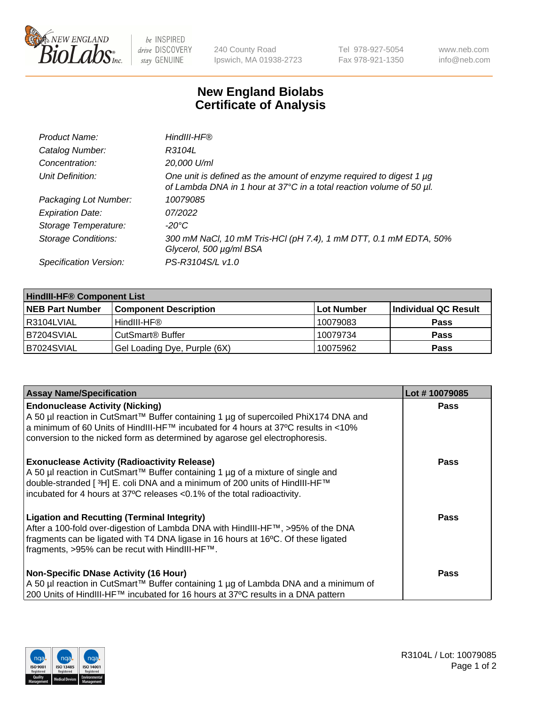

 $be$  INSPIRED drive DISCOVERY stay GENUINE

240 County Road Ipswich, MA 01938-2723 Tel 978-927-5054 Fax 978-921-1350 www.neb.com info@neb.com

## **New England Biolabs Certificate of Analysis**

| Product Name:              | HindIII-HF®                                                                                                                                 |
|----------------------------|---------------------------------------------------------------------------------------------------------------------------------------------|
| Catalog Number:            | R3104L                                                                                                                                      |
| Concentration:             | 20,000 U/ml                                                                                                                                 |
| Unit Definition:           | One unit is defined as the amount of enzyme required to digest 1 µg<br>of Lambda DNA in 1 hour at 37°C in a total reaction volume of 50 µl. |
| Packaging Lot Number:      | 10079085                                                                                                                                    |
| <b>Expiration Date:</b>    | 07/2022                                                                                                                                     |
| Storage Temperature:       | $-20^{\circ}$ C                                                                                                                             |
| <b>Storage Conditions:</b> | 300 mM NaCl, 10 mM Tris-HCl (pH 7.4), 1 mM DTT, 0.1 mM EDTA, 50%<br>Glycerol, 500 µg/ml BSA                                                 |
| Specification Version:     | PS-R3104S/L v1.0                                                                                                                            |

| <b>HindIII-HF® Component List</b> |                              |            |                      |  |  |
|-----------------------------------|------------------------------|------------|----------------------|--|--|
| <b>NEB Part Number</b>            | <b>Component Description</b> | Lot Number | Individual QC Result |  |  |
| R3104LVIAL                        | HindIII-HF®                  | 10079083   | <b>Pass</b>          |  |  |
| B7204SVIAL                        | CutSmart <sup>®</sup> Buffer | 10079734   | <b>Pass</b>          |  |  |
| B7024SVIAL                        | Gel Loading Dye, Purple (6X) | 10075962   | <b>Pass</b>          |  |  |

| <b>Assay Name/Specification</b>                                                                                                                                                                                                                                                                                 | Lot #10079085 |
|-----------------------------------------------------------------------------------------------------------------------------------------------------------------------------------------------------------------------------------------------------------------------------------------------------------------|---------------|
| <b>Endonuclease Activity (Nicking)</b><br>  A 50 µl reaction in CutSmart™ Buffer containing 1 µg of supercoiled PhiX174 DNA and                                                                                                                                                                                 | <b>Pass</b>   |
| a minimum of 60 Units of HindIII-HF™ incubated for 4 hours at 37ºC results in <10%<br>conversion to the nicked form as determined by agarose gel electrophoresis.                                                                                                                                               |               |
| <b>Exonuclease Activity (Radioactivity Release)</b><br>  A 50 µl reaction in CutSmart™ Buffer containing 1 µg of a mixture of single and<br>double-stranded [ <sup>3</sup> H] E. coli DNA and a minimum of 200 units of HindIII-HF™<br>incubated for 4 hours at 37°C releases <0.1% of the total radioactivity. | <b>Pass</b>   |
| <b>Ligation and Recutting (Terminal Integrity)</b><br>After a 100-fold over-digestion of Lambda DNA with HindIII-HF™, >95% of the DNA<br>fragments can be ligated with T4 DNA ligase in 16 hours at 16°C. Of these ligated<br>fragments, >95% can be recut with HindIII-HF™.                                    | Pass          |
| <b>Non-Specific DNase Activity (16 Hour)</b>                                                                                                                                                                                                                                                                    | <b>Pass</b>   |
| A 50 µl reaction in CutSmart™ Buffer containing 1 µg of Lambda DNA and a minimum of<br>200 Units of HindIII-HF™ incubated for 16 hours at 37°C results in a DNA pattern                                                                                                                                         |               |